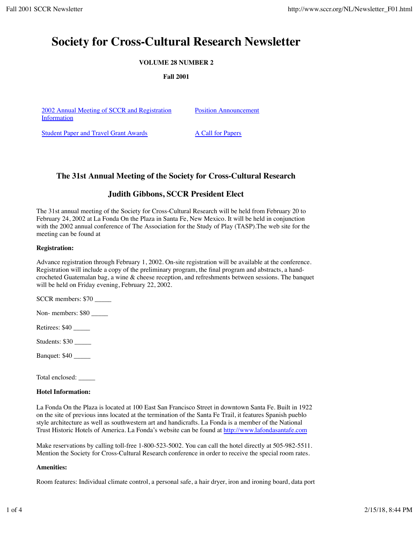# **Society for Cross-Cultural Research Newsletter**

# **VOLUME 28 NUMBER 2**

**Fall 2001**

2002 Annual Meeting of SCCR and Registration Information

Position Announcement

Student Paper and Travel Grant Awards A Call for Papers

# **The 31st Annual Meeting of the Society for Cross-Cultural Research**

# **Judith Gibbons, SCCR President Elect**

The 31st annual meeting of the Society for Cross-Cultural Research will be held from February 20 to February 24, 2002 at La Fonda On the Plaza in Santa Fe, New Mexico. It will be held in conjunction with the 2002 annual conference of The Association for the Study of Play (TASP).The web site for the meeting can be found at

## **Registration:**

Advance registration through February 1, 2002. On-site registration will be available at the conference. Registration will include a copy of the preliminary program, the final program and abstracts, a handcrocheted Guatemalan bag, a wine & cheese reception, and refreshments between sessions. The banquet will be held on Friday evening, February 22, 2002.

SCCR members: \$70

Non- members: \$80

Retirees: \$40

Students: \$30 \_\_\_\_\_

Banquet: \$40 \_\_\_\_\_

Total enclosed: \_\_\_\_\_

## **Hotel Information:**

La Fonda On the Plaza is located at 100 East San Francisco Street in downtown Santa Fe. Built in 1922 on the site of previous inns located at the termination of the Santa Fe Trail, it features Spanish pueblo style architecture as well as southwestern art and handicrafts. La Fonda is a member of the National Trust Historic Hotels of America. La Fonda's website can be found at http://www.lafondasantafe.com

Make reservations by calling toll-free 1-800-523-5002. You can call the hotel directly at 505-982-5511. Mention the Society for Cross-Cultural Research conference in order to receive the special room rates.

## **Amenities:**

Room features: Individual climate control, a personal safe, a hair dryer, iron and ironing board, data port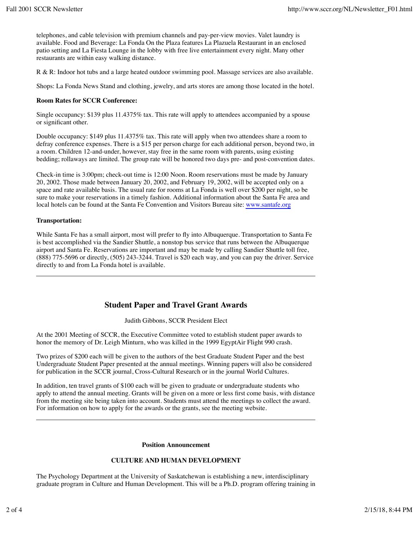telephones, and cable television with premium channels and pay-per-view movies. Valet laundry is available. Food and Beverage: La Fonda On the Plaza features La Plazuela Restaurant in an enclosed patio setting and La Fiesta Lounge in the lobby with free live entertainment every night. Many other restaurants are within easy walking distance.

R & R: Indoor hot tubs and a large heated outdoor swimming pool. Massage services are also available.

Shops: La Fonda News Stand and clothing, jewelry, and arts stores are among those located in the hotel.

#### **Room Rates for SCCR Conference:**

Single occupancy: \$139 plus 11.4375% tax. This rate will apply to attendees accompanied by a spouse or significant other.

Double occupancy: \$149 plus 11.4375% tax. This rate will apply when two attendees share a room to defray conference expenses. There is a \$15 per person charge for each additional person, beyond two, in a room. Children 12-and-under, however, stay free in the same room with parents, using existing bedding; rollaways are limited. The group rate will be honored two days pre- and post-convention dates.

Check-in time is 3:00pm; check-out time is 12:00 Noon. Room reservations must be made by January 20, 2002. Those made between January 20, 2002, and February 19, 2002, will be accepted only on a space and rate available basis. The usual rate for rooms at La Fonda is well over \$200 per night, so be sure to make your reservations in a timely fashion. Additional information about the Santa Fe area and local hotels can be found at the Santa Fe Convention and Visitors Bureau site: www.santafe.org

## **Transportation:**

While Santa Fe has a small airport, most will prefer to fly into Albuquerque. Transportation to Santa Fe is best accomplished via the Sandier Shuttle, a nonstop bus service that runs between the Albuquerque airport and Santa Fe. Reservations are important and may be made by calling Sandier Shuttle toll free, (888) 775-5696 or directly, (505) 243-3244. Travel is \$20 each way, and you can pay the driver. Service directly to and from La Fonda hotel is available.

# **Student Paper and Travel Grant Awards**

Judith Gibbons, SCCR President Elect

At the 2001 Meeting of SCCR, the Executive Committee voted to establish student paper awards to honor the memory of Dr. Leigh Minturn, who was killed in the 1999 EgyptAir Flight 990 crash.

Two prizes of \$200 each will be given to the authors of the best Graduate Student Paper and the best Undergraduate Student Paper presented at the annual meetings. Winning papers will also be considered for publication in the SCCR journal, Cross-Cultural Research or in the journal World Cultures.

In addition, ten travel grants of \$100 each will be given to graduate or undergraduate students who apply to attend the annual meeting. Grants will be given on a more or less first come basis, with distance from the meeting site being taken into account. Students must attend the meetings to collect the award. For information on how to apply for the awards or the grants, see the meeting website.

#### **Position Announcement**

## **CULTURE AND HUMAN DEVELOPMENT**

The Psychology Department at the University of Saskatchewan is establishing a new, interdisciplinary graduate program in Culture and Human Development. This will be a Ph.D. program offering training in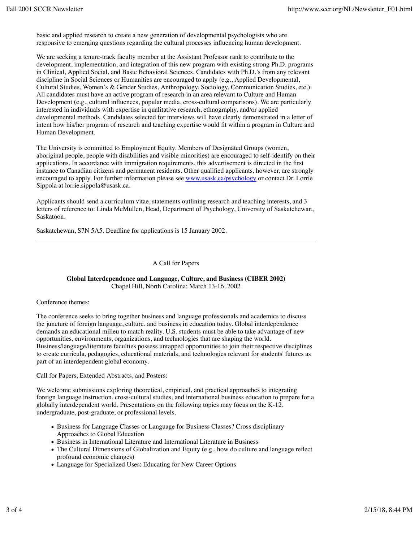basic and applied research to create a new generation of developmental psychologists who are responsive to emerging questions regarding the cultural processes influencing human development.

We are seeking a tenure-track faculty member at the Assistant Professor rank to contribute to the development, implementation, and integration of this new program with existing strong Ph.D. programs in Clinical, Applied Social, and Basic Behavioral Sciences. Candidates with Ph.D.'s from any relevant discipline in Social Sciences or Humanities are encouraged to apply (e.g., Applied Developmental, Cultural Studies, Women's & Gender Studies, Anthropology, Sociology, Communication Studies, etc.). All candidates must have an active program of research in an area relevant to Culture and Human Development (e.g., cultural influences, popular media, cross-cultural comparisons). We are particularly interested in individuals with expertise in qualitative research, ethnography, and/or applied developmental methods. Candidates selected for interviews will have clearly demonstrated in a letter of intent how his/her program of research and teaching expertise would fit within a program in Culture and Human Development.

The University is committed to Employment Equity. Members of Designated Groups (women, aboriginal people, people with disabilities and visible minorities) are encouraged to self-identify on their applications. In accordance with immigration requirements, this advertisement is directed in the first instance to Canadian citizens and permanent residents. Other qualified applicants, however, are strongly encouraged to apply. For further information please see www.usask.ca/psychology or contact Dr. Lorrie Sippola at lorrie.sippola@usask.ca.

Applicants should send a curriculum vitae, statements outlining research and teaching interests, and 3 letters of reference to: Linda McMullen, Head, Department of Psychology, University of Saskatchewan, Saskatoon,

Saskatchewan, S7N 5A5. Deadline for applications is 15 January 2002.

A Call for Papers

#### **Global Interdependence and Language, Culture, and Business (CIBER 2002)** Chapel Hill, North Carolina: March 13-16, 2002

#### Conference themes:

The conference seeks to bring together business and language professionals and academics to discuss the juncture of foreign language, culture, and business in education today. Global interdependence demands an educational milieu to match reality. U.S. students must be able to take advantage of new opportunities, environments, organizations, and technologies that are shaping the world. Business/language/literature faculties possess untapped opportunities to join their respective disciplines to create curricula, pedagogies, educational materials, and technologies relevant for students' futures as part of an interdependent global economy.

Call for Papers, Extended Abstracts, and Posters:

We welcome submissions exploring theoretical, empirical, and practical approaches to integrating foreign language instruction, cross-cultural studies, and international business education to prepare for a globally interdependent world. Presentations on the following topics may focus on the K-12, undergraduate, post-graduate, or professional levels.

- Business for Language Classes or Language for Business Classes? Cross disciplinary Approaches to Global Education
- Business in International Literature and International Literature in Business
- The Cultural Dimensions of Globalization and Equity (e.g., how do culture and language reflect profound economic changes)
- Language for Specialized Uses: Educating for New Career Options